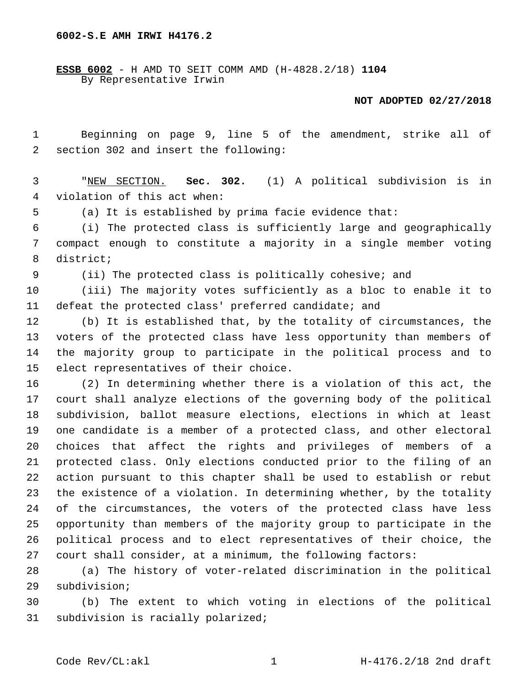**6002-S.E AMH IRWI H4176.2**

**ESSB 6002** - H AMD TO SEIT COMM AMD (H-4828.2/18) **1104** By Representative Irwin

## **NOT ADOPTED 02/27/2018**

 Beginning on page 9, line 5 of the amendment, strike all of 2 section 302 and insert the following:

 "NEW SECTION. **Sec. 302.** (1) A political subdivision is in violation of this act when:

(a) It is established by prima facie evidence that:

 (i) The protected class is sufficiently large and geographically compact enough to constitute a majority in a single member voting 8 district;

(ii) The protected class is politically cohesive; and

 (iii) The majority votes sufficiently as a bloc to enable it to defeat the protected class' preferred candidate; and

 (b) It is established that, by the totality of circumstances, the voters of the protected class have less opportunity than members of the majority group to participate in the political process and to 15 elect representatives of their choice.

 (2) In determining whether there is a violation of this act, the court shall analyze elections of the governing body of the political subdivision, ballot measure elections, elections in which at least one candidate is a member of a protected class, and other electoral choices that affect the rights and privileges of members of a protected class. Only elections conducted prior to the filing of an action pursuant to this chapter shall be used to establish or rebut the existence of a violation. In determining whether, by the totality of the circumstances, the voters of the protected class have less opportunity than members of the majority group to participate in the political process and to elect representatives of their choice, the court shall consider, at a minimum, the following factors:

 (a) The history of voter-related discrimination in the political 29 subdivision;

 (b) The extent to which voting in elections of the political 31 subdivision is racially polarized;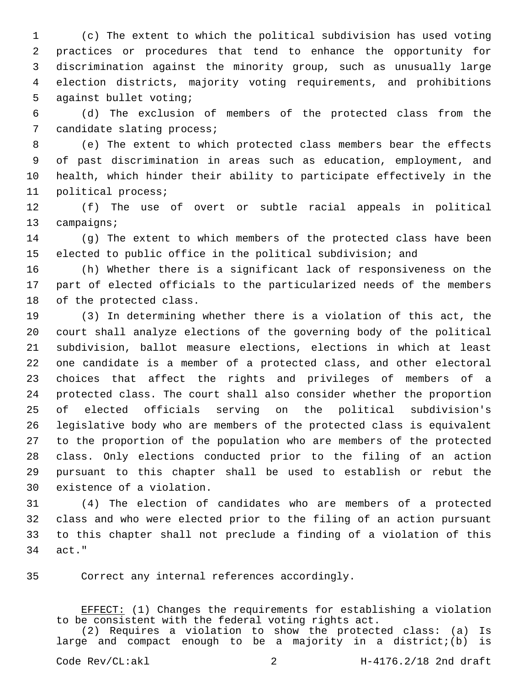(c) The extent to which the political subdivision has used voting practices or procedures that tend to enhance the opportunity for discrimination against the minority group, such as unusually large election districts, majority voting requirements, and prohibitions 5 against bullet voting;

 (d) The exclusion of members of the protected class from the 7 candidate slating process;

 (e) The extent to which protected class members bear the effects of past discrimination in areas such as education, employment, and health, which hinder their ability to participate effectively in the 11 political process;

 (f) The use of overt or subtle racial appeals in political 13 campaigns;

 (g) The extent to which members of the protected class have been elected to public office in the political subdivision; and

 (h) Whether there is a significant lack of responsiveness on the part of elected officials to the particularized needs of the members 18 of the protected class.

 (3) In determining whether there is a violation of this act, the court shall analyze elections of the governing body of the political subdivision, ballot measure elections, elections in which at least one candidate is a member of a protected class, and other electoral choices that affect the rights and privileges of members of a protected class. The court shall also consider whether the proportion of elected officials serving on the political subdivision's legislative body who are members of the protected class is equivalent to the proportion of the population who are members of the protected class. Only elections conducted prior to the filing of an action pursuant to this chapter shall be used to establish or rebut the 30 existence of a violation.

 (4) The election of candidates who are members of a protected class and who were elected prior to the filing of an action pursuant to this chapter shall not preclude a finding of a violation of this 34 act."

Correct any internal references accordingly.35

EFFECT: (1) Changes the requirements for establishing a violation to be consistent with the federal voting rights act.

(2) Requires a violation to show the protected class: (a) Is large and compact enough to be a majority in a district;(b) is